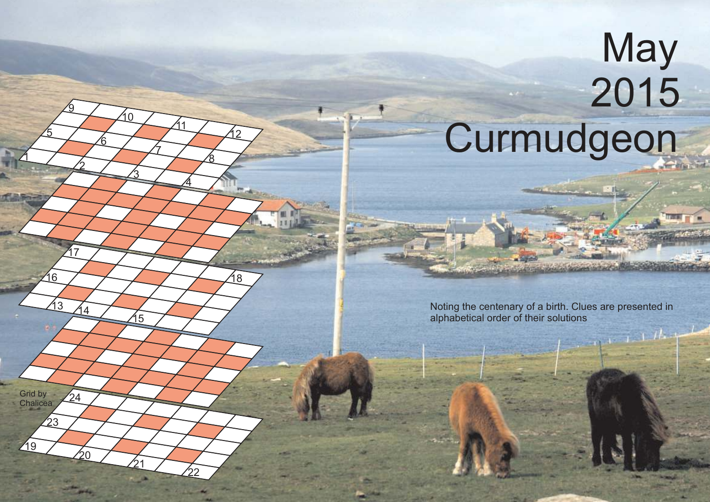## 2015 Curmudgeon

**May** 

 $\mathbf 1$ 

5

<u>2</u>

 $\frac{3}{44}$ 

 $24<sup>2</sup>$ 

23

ንበ

<u>17</u>

16

19

Grid by **Chalicea**  <u>ରୁ</u>

6

<u>3</u>

15

 $21$ 

22

 $\Omega$ 

7

 $\overline{4}$ 

 $\overline{1}$ 

<u>გ</u>

12

18

Noting the centenary of a birth. Clues are presented in alphabetical order of their solutions

 $1/11$